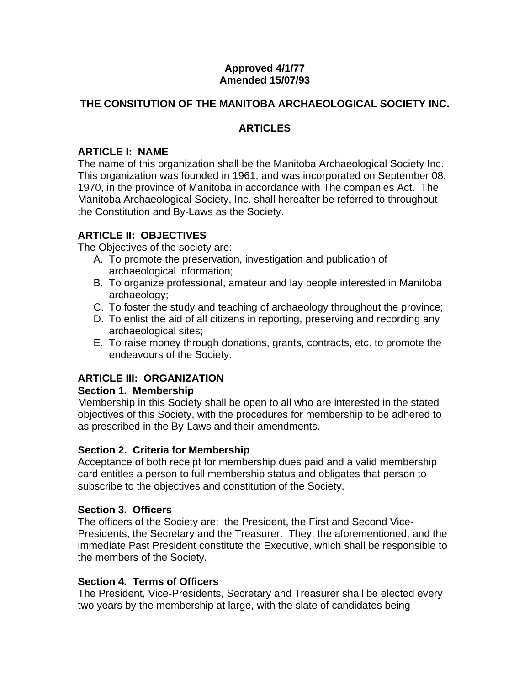#### **Approved 4/1/77 Amended 15/07/93**

### **THE CONSITUTION OF THE MANITOBA ARCHAEOLOGICAL SOCIETY INC.**

### **ARTICLES**

#### **ARTICLE I: NAME**

The name of this organization shall be the Manitoba Archaeological Society Inc. This organization was founded in 1961, and was incorporated on September 08, 1970, in the province of Manitoba in accordance with The companies Act. The Manitoba Archaeological Society, Inc. shall hereafter be referred to throughout the Constitution and By-Laws as the Society.

### **ARTICLE II: OBJECTIVES**

The Objectives of the society are:

- A. To promote the preservation, investigation and publication of archaeological information;
- B. To organize professional, amateur and lay people interested in Manitoba archaeology;
- C. To foster the study and teaching of archaeology throughout the province;
- D. To enlist the aid of all citizens in reporting, preserving and recording any archaeological sites;
- E. To raise money through donations, grants, contracts, etc. to promote the endeavours of the Society.

# **ARTICLE III: ORGANIZATION**

#### **Section 1. Membership**

Membership in this Society shall be open to all who are interested in the stated objectives of this Society, with the procedures for membership to be adhered to as prescribed in the By-Laws and their amendments.

#### **Section 2. Criteria for Membership**

Acceptance of both receipt for membership dues paid and a valid membership card entitles a person to full membership status and obligates that person to subscribe to the objectives and constitution of the Society.

#### **Section 3. Officers**

The officers of the Society are: the President, the First and Second Vice-Presidents, the Secretary and the Treasurer. They, the aforementioned, and the immediate Past President constitute the Executive, which shall be responsible to the members of the Society.

#### **Section 4. Terms of Officers**

The President, Vice-Presidents, Secretary and Treasurer shall be elected every two years by the membership at large, with the slate of candidates being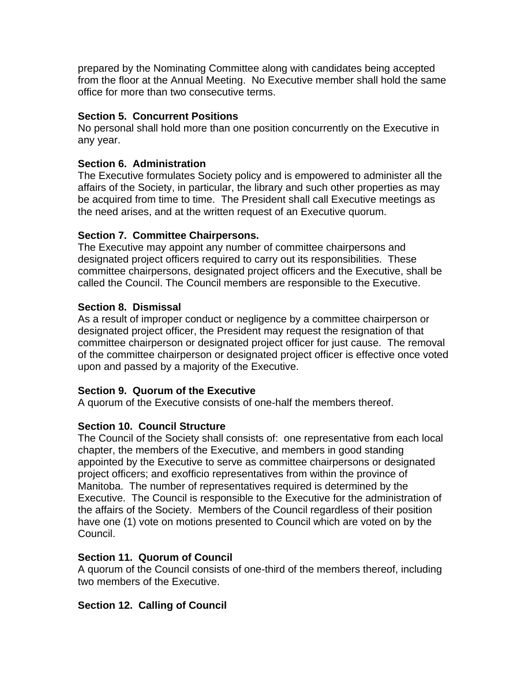prepared by the Nominating Committee along with candidates being accepted from the floor at the Annual Meeting. No Executive member shall hold the same office for more than two consecutive terms.

### **Section 5. Concurrent Positions**

No personal shall hold more than one position concurrently on the Executive in any year.

### **Section 6. Administration**

The Executive formulates Society policy and is empowered to administer all the affairs of the Society, in particular, the library and such other properties as may be acquired from time to time. The President shall call Executive meetings as the need arises, and at the written request of an Executive quorum.

### **Section 7. Committee Chairpersons.**

The Executive may appoint any number of committee chairpersons and designated project officers required to carry out its responsibilities. These committee chairpersons, designated project officers and the Executive, shall be called the Council. The Council members are responsible to the Executive.

### **Section 8. Dismissal**

As a result of improper conduct or negligence by a committee chairperson or designated project officer, the President may request the resignation of that committee chairperson or designated project officer for just cause. The removal of the committee chairperson or designated project officer is effective once voted upon and passed by a majority of the Executive.

#### **Section 9. Quorum of the Executive**

A quorum of the Executive consists of one-half the members thereof.

#### **Section 10. Council Structure**

The Council of the Society shall consists of: one representative from each local chapter, the members of the Executive, and members in good standing appointed by the Executive to serve as committee chairpersons or designated project officers; and exofficio representatives from within the province of Manitoba. The number of representatives required is determined by the Executive. The Council is responsible to the Executive for the administration of the affairs of the Society. Members of the Council regardless of their position have one (1) vote on motions presented to Council which are voted on by the Council.

#### **Section 11. Quorum of Council**

A quorum of the Council consists of one-third of the members thereof, including two members of the Executive.

#### **Section 12. Calling of Council**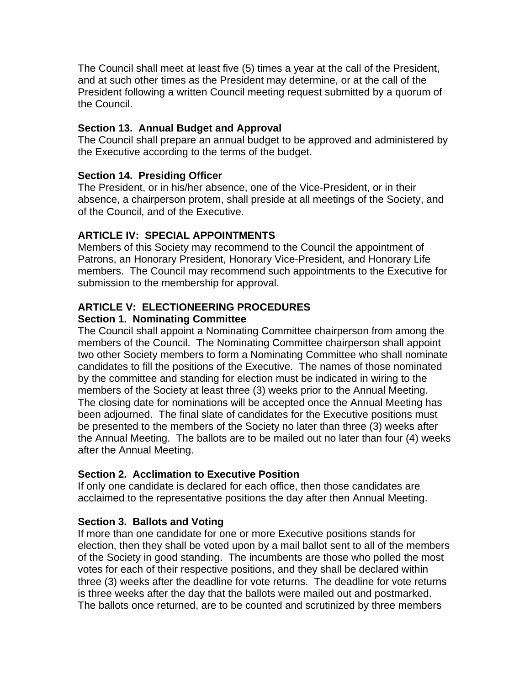The Council shall meet at least five (5) times a year at the call of the President, and at such other times as the President may determine, or at the call of the President following a written Council meeting request submitted by a quorum of the Council.

### **Section 13. Annual Budget and Approval**

The Council shall prepare an annual budget to be approved and administered by the Executive according to the terms of the budget.

### **Section 14. Presiding Officer**

The President, or in his/her absence, one of the Vice-President, or in their absence, a chairperson protem, shall preside at all meetings of the Society, and of the Council, and of the Executive.

### **ARTICLE IV: SPECIAL APPOINTMENTS**

Members of this Society may recommend to the Council the appointment of Patrons, an Honorary President, Honorary Vice-President, and Honorary Life members. The Council may recommend such appointments to the Executive for submission to the membership for approval.

# **ARTICLE V: ELECTIONEERING PROCEDURES**

### **Section 1. Nominating Committee**

The Council shall appoint a Nominating Committee chairperson from among the members of the Council. The Nominating Committee chairperson shall appoint two other Society members to form a Nominating Committee who shall nominate candidates to fill the positions of the Executive. The names of those nominated by the committee and standing for election must be indicated in wiring to the members of the Society at least three (3) weeks prior to the Annual Meeting. The closing date for nominations will be accepted once the Annual Meeting has been adjourned. The final slate of candidates for the Executive positions must be presented to the members of the Society no later than three (3) weeks after the Annual Meeting. The ballots are to be mailed out no later than four (4) weeks after the Annual Meeting.

#### **Section 2. Acclimation to Executive Position**

If only one candidate is declared for each office, then those candidates are acclaimed to the representative positions the day after then Annual Meeting.

#### **Section 3. Ballots and Voting**

If more than one candidate for one or more Executive positions stands for election, then they shall be voted upon by a mail ballot sent to all of the members of the Society in good standing. The incumbents are those who polled the most votes for each of their respective positions, and they shall be declared within three (3) weeks after the deadline for vote returns. The deadline for vote returns is three weeks after the day that the ballots were mailed out and postmarked. The ballots once returned, are to be counted and scrutinized by three members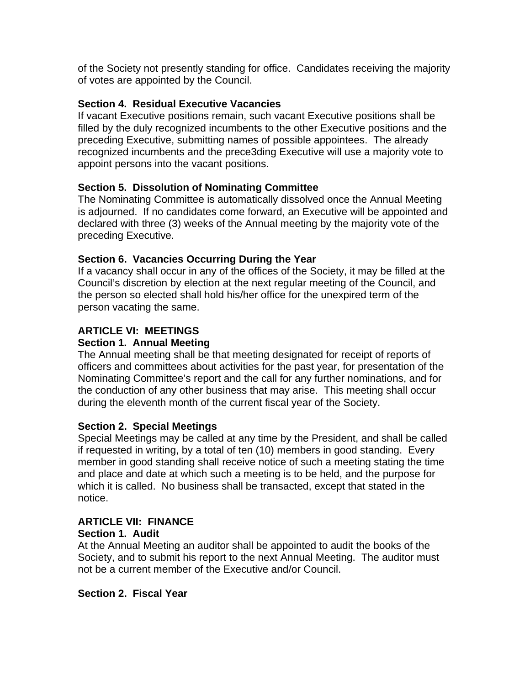of the Society not presently standing for office. Candidates receiving the majority of votes are appointed by the Council.

# **Section 4. Residual Executive Vacancies**

If vacant Executive positions remain, such vacant Executive positions shall be filled by the duly recognized incumbents to the other Executive positions and the preceding Executive, submitting names of possible appointees. The already recognized incumbents and the prece3ding Executive will use a majority vote to appoint persons into the vacant positions.

# **Section 5. Dissolution of Nominating Committee**

The Nominating Committee is automatically dissolved once the Annual Meeting is adjourned. If no candidates come forward, an Executive will be appointed and declared with three (3) weeks of the Annual meeting by the majority vote of the preceding Executive.

# **Section 6. Vacancies Occurring During the Year**

If a vacancy shall occur in any of the offices of the Society, it may be filled at the Council's discretion by election at the next regular meeting of the Council, and the person so elected shall hold his/her office for the unexpired term of the person vacating the same.

# **ARTICLE VI: MEETINGS**

# **Section 1. Annual Meeting**

The Annual meeting shall be that meeting designated for receipt of reports of officers and committees about activities for the past year, for presentation of the Nominating Committee's report and the call for any further nominations, and for the conduction of any other business that may arise. This meeting shall occur during the eleventh month of the current fiscal year of the Society.

# **Section 2. Special Meetings**

Special Meetings may be called at any time by the President, and shall be called if requested in writing, by a total of ten (10) members in good standing. Every member in good standing shall receive notice of such a meeting stating the time and place and date at which such a meeting is to be held, and the purpose for which it is called. No business shall be transacted, except that stated in the notice.

#### **ARTICLE VII: FINANCE Section 1. Audit**

At the Annual Meeting an auditor shall be appointed to audit the books of the Society, and to submit his report to the next Annual Meeting. The auditor must not be a current member of the Executive and/or Council.

# **Section 2. Fiscal Year**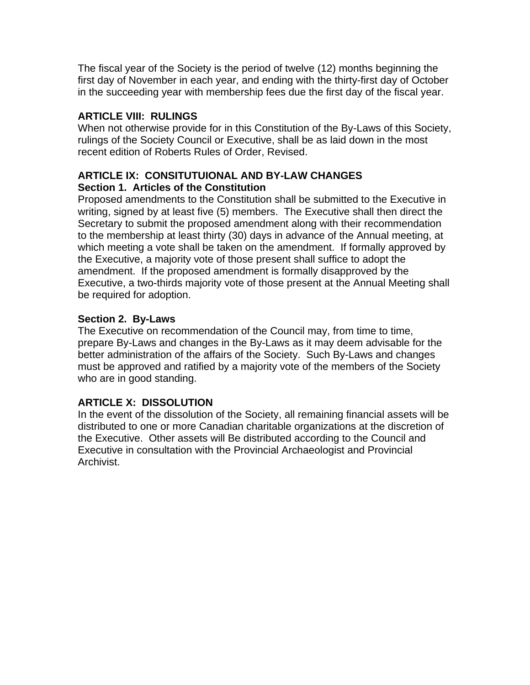The fiscal year of the Society is the period of twelve (12) months beginning the first day of November in each year, and ending with the thirty-first day of October in the succeeding year with membership fees due the first day of the fiscal year.

# **ARTICLE VIII: RULINGS**

When not otherwise provide for in this Constitution of the By-Laws of this Society, rulings of the Society Council or Executive, shall be as laid down in the most recent edition of Roberts Rules of Order, Revised.

### **ARTICLE IX: CONSITUTUIONAL AND BY-LAW CHANGES Section 1. Articles of the Constitution**

Proposed amendments to the Constitution shall be submitted to the Executive in writing, signed by at least five (5) members. The Executive shall then direct the Secretary to submit the proposed amendment along with their recommendation to the membership at least thirty (30) days in advance of the Annual meeting, at which meeting a vote shall be taken on the amendment. If formally approved by the Executive, a majority vote of those present shall suffice to adopt the amendment. If the proposed amendment is formally disapproved by the Executive, a two-thirds majority vote of those present at the Annual Meeting shall be required for adoption.

# **Section 2. By-Laws**

The Executive on recommendation of the Council may, from time to time, prepare By-Laws and changes in the By-Laws as it may deem advisable for the better administration of the affairs of the Society. Such By-Laws and changes must be approved and ratified by a majority vote of the members of the Society who are in good standing.

# **ARTICLE X: DISSOLUTION**

In the event of the dissolution of the Society, all remaining financial assets will be distributed to one or more Canadian charitable organizations at the discretion of the Executive. Other assets will Be distributed according to the Council and Executive in consultation with the Provincial Archaeologist and Provincial Archivist.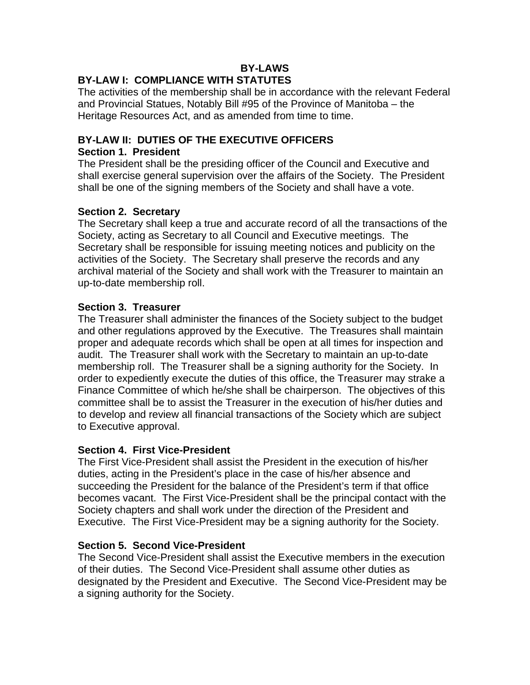# **BY-LAWS**

# **BY-LAW I: COMPLIANCE WITH STATUTES**

The activities of the membership shall be in accordance with the relevant Federal and Provincial Statues, Notably Bill #95 of the Province of Manitoba – the Heritage Resources Act, and as amended from time to time.

### **BY-LAW II: DUTIES OF THE EXECUTIVE OFFICERS**

#### **Section 1. President**

The President shall be the presiding officer of the Council and Executive and shall exercise general supervision over the affairs of the Society. The President shall be one of the signing members of the Society and shall have a vote.

#### **Section 2. Secretary**

The Secretary shall keep a true and accurate record of all the transactions of the Society, acting as Secretary to all Council and Executive meetings. The Secretary shall be responsible for issuing meeting notices and publicity on the activities of the Society. The Secretary shall preserve the records and any archival material of the Society and shall work with the Treasurer to maintain an up-to-date membership roll.

#### **Section 3. Treasurer**

The Treasurer shall administer the finances of the Society subject to the budget and other regulations approved by the Executive. The Treasures shall maintain proper and adequate records which shall be open at all times for inspection and audit. The Treasurer shall work with the Secretary to maintain an up-to-date membership roll. The Treasurer shall be a signing authority for the Society. In order to expediently execute the duties of this office, the Treasurer may strake a Finance Committee of which he/she shall be chairperson. The objectives of this committee shall be to assist the Treasurer in the execution of his/her duties and to develop and review all financial transactions of the Society which are subject to Executive approval.

#### **Section 4. First Vice-President**

The First Vice-President shall assist the President in the execution of his/her duties, acting in the President's place in the case of his/her absence and succeeding the President for the balance of the President's term if that office becomes vacant. The First Vice-President shall be the principal contact with the Society chapters and shall work under the direction of the President and Executive. The First Vice-President may be a signing authority for the Society.

#### **Section 5. Second Vice-President**

The Second Vice-President shall assist the Executive members in the execution of their duties. The Second Vice-President shall assume other duties as designated by the President and Executive. The Second Vice-President may be a signing authority for the Society.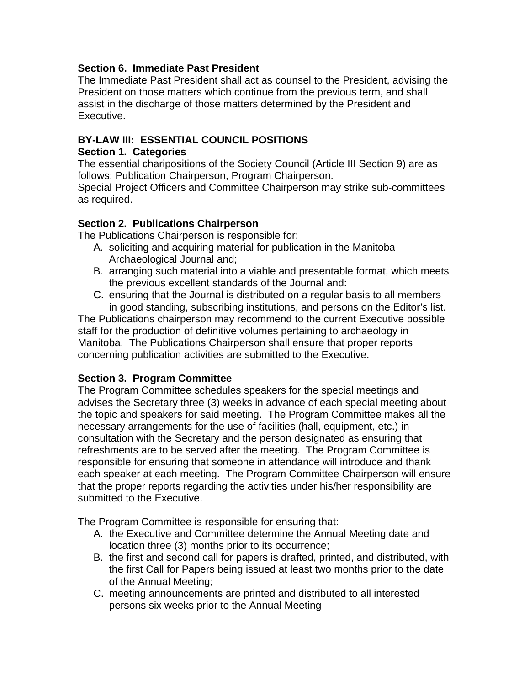### **Section 6. Immediate Past President**

The Immediate Past President shall act as counsel to the President, advising the President on those matters which continue from the previous term, and shall assist in the discharge of those matters determined by the President and Executive.

# **BY-LAW III: ESSENTIAL COUNCIL POSITIONS**

### **Section 1. Categories**

The essential charipositions of the Society Council (Article III Section 9) are as follows: Publication Chairperson, Program Chairperson.

Special Project Officers and Committee Chairperson may strike sub-committees as required.

# **Section 2. Publications Chairperson**

The Publications Chairperson is responsible for:

- A. soliciting and acquiring material for publication in the Manitoba Archaeological Journal and;
- B. arranging such material into a viable and presentable format, which meets the previous excellent standards of the Journal and:
- C. ensuring that the Journal is distributed on a regular basis to all members in good standing, subscribing institutions, and persons on the Editor's list.

The Publications chairperson may recommend to the current Executive possible staff for the production of definitive volumes pertaining to archaeology in Manitoba. The Publications Chairperson shall ensure that proper reports concerning publication activities are submitted to the Executive.

# **Section 3. Program Committee**

The Program Committee schedules speakers for the special meetings and advises the Secretary three (3) weeks in advance of each special meeting about the topic and speakers for said meeting. The Program Committee makes all the necessary arrangements for the use of facilities (hall, equipment, etc.) in consultation with the Secretary and the person designated as ensuring that refreshments are to be served after the meeting. The Program Committee is responsible for ensuring that someone in attendance will introduce and thank each speaker at each meeting. The Program Committee Chairperson will ensure that the proper reports regarding the activities under his/her responsibility are submitted to the Executive.

The Program Committee is responsible for ensuring that:

- A. the Executive and Committee determine the Annual Meeting date and location three (3) months prior to its occurrence;
- B. the first and second call for papers is drafted, printed, and distributed, with the first Call for Papers being issued at least two months prior to the date of the Annual Meeting;
- C. meeting announcements are printed and distributed to all interested persons six weeks prior to the Annual Meeting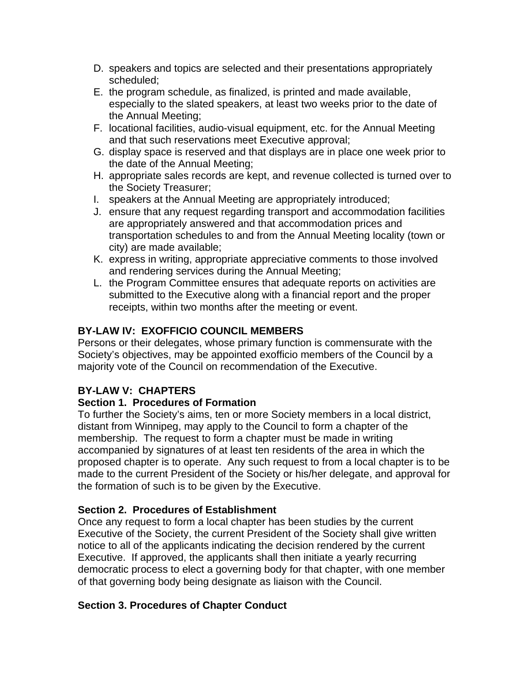- D. speakers and topics are selected and their presentations appropriately scheduled;
- E. the program schedule, as finalized, is printed and made available, especially to the slated speakers, at least two weeks prior to the date of the Annual Meeting;
- F. locational facilities, audio-visual equipment, etc. for the Annual Meeting and that such reservations meet Executive approval;
- G. display space is reserved and that displays are in place one week prior to the date of the Annual Meeting;
- H. appropriate sales records are kept, and revenue collected is turned over to the Society Treasurer;
- I. speakers at the Annual Meeting are appropriately introduced;
- J. ensure that any request regarding transport and accommodation facilities are appropriately answered and that accommodation prices and transportation schedules to and from the Annual Meeting locality (town or city) are made available;
- K. express in writing, appropriate appreciative comments to those involved and rendering services during the Annual Meeting;
- L. the Program Committee ensures that adequate reports on activities are submitted to the Executive along with a financial report and the proper receipts, within two months after the meeting or event.

# **BY-LAW IV: EXOFFICIO COUNCIL MEMBERS**

Persons or their delegates, whose primary function is commensurate with the Society's objectives, may be appointed exofficio members of the Council by a majority vote of the Council on recommendation of the Executive.

# **BY-LAW V: CHAPTERS**

# **Section 1. Procedures of Formation**

To further the Society's aims, ten or more Society members in a local district, distant from Winnipeg, may apply to the Council to form a chapter of the membership. The request to form a chapter must be made in writing accompanied by signatures of at least ten residents of the area in which the proposed chapter is to operate. Any such request to from a local chapter is to be made to the current President of the Society or his/her delegate, and approval for the formation of such is to be given by the Executive.

# **Section 2. Procedures of Establishment**

Once any request to form a local chapter has been studies by the current Executive of the Society, the current President of the Society shall give written notice to all of the applicants indicating the decision rendered by the current Executive. If approved, the applicants shall then initiate a yearly recurring democratic process to elect a governing body for that chapter, with one member of that governing body being designate as liaison with the Council.

# **Section 3. Procedures of Chapter Conduct**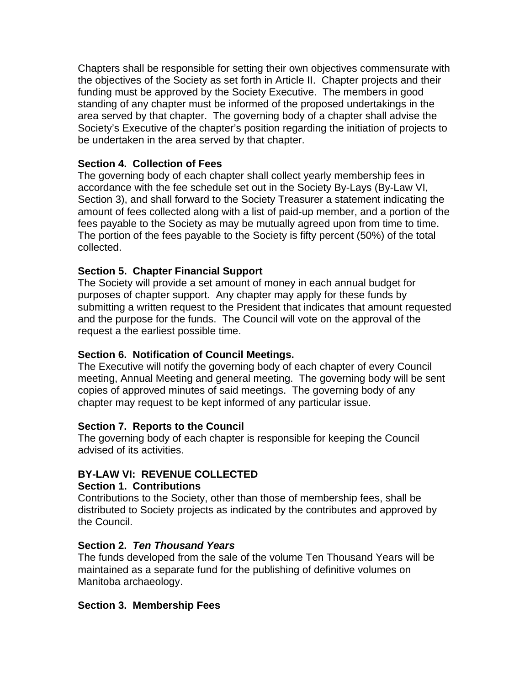Chapters shall be responsible for setting their own objectives commensurate with the objectives of the Society as set forth in Article II. Chapter projects and their funding must be approved by the Society Executive. The members in good standing of any chapter must be informed of the proposed undertakings in the area served by that chapter. The governing body of a chapter shall advise the Society's Executive of the chapter's position regarding the initiation of projects to be undertaken in the area served by that chapter.

### **Section 4. Collection of Fees**

The governing body of each chapter shall collect yearly membership fees in accordance with the fee schedule set out in the Society By-Lays (By-Law VI, Section 3), and shall forward to the Society Treasurer a statement indicating the amount of fees collected along with a list of paid-up member, and a portion of the fees payable to the Society as may be mutually agreed upon from time to time. The portion of the fees payable to the Society is fifty percent (50%) of the total collected.

### **Section 5. Chapter Financial Support**

The Society will provide a set amount of money in each annual budget for purposes of chapter support. Any chapter may apply for these funds by submitting a written request to the President that indicates that amount requested and the purpose for the funds. The Council will vote on the approval of the request a the earliest possible time.

# **Section 6. Notification of Council Meetings.**

The Executive will notify the governing body of each chapter of every Council meeting, Annual Meeting and general meeting. The governing body will be sent copies of approved minutes of said meetings. The governing body of any chapter may request to be kept informed of any particular issue.

#### **Section 7. Reports to the Council**

The governing body of each chapter is responsible for keeping the Council advised of its activities.

# **BY-LAW VI: REVENUE COLLECTED**

#### **Section 1. Contributions**

Contributions to the Society, other than those of membership fees, shall be distributed to Society projects as indicated by the contributes and approved by the Council.

#### **Section 2.** *Ten Thousand Years*

The funds developed from the sale of the volume Ten Thousand Years will be maintained as a separate fund for the publishing of definitive volumes on Manitoba archaeology.

#### **Section 3. Membership Fees**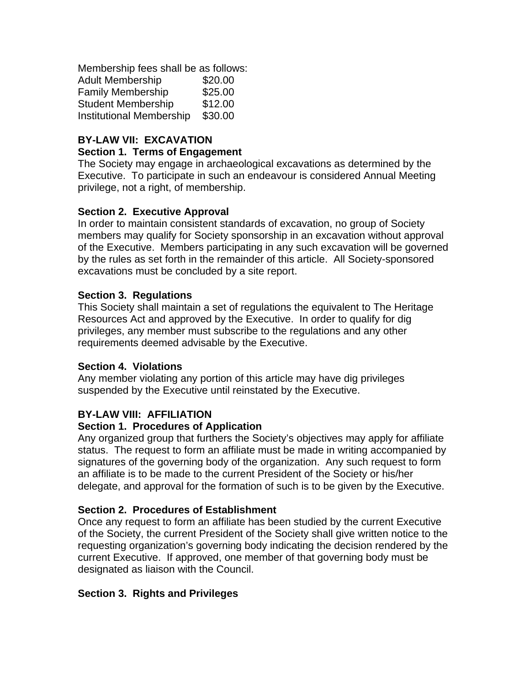Membership fees shall be as follows: Adult Membership \$20.00 Family Membership \$25.00 Student Membership \$12.00 Institutional Membership \$30.00

# **BY-LAW VII: EXCAVATION**

### **Section 1. Terms of Engagement**

The Society may engage in archaeological excavations as determined by the Executive. To participate in such an endeavour is considered Annual Meeting privilege, not a right, of membership.

# **Section 2. Executive Approval**

In order to maintain consistent standards of excavation, no group of Society members may qualify for Society sponsorship in an excavation without approval of the Executive. Members participating in any such excavation will be governed by the rules as set forth in the remainder of this article. All Society-sponsored excavations must be concluded by a site report.

### **Section 3. Regulations**

This Society shall maintain a set of regulations the equivalent to The Heritage Resources Act and approved by the Executive. In order to qualify for dig privileges, any member must subscribe to the regulations and any other requirements deemed advisable by the Executive.

#### **Section 4. Violations**

Any member violating any portion of this article may have dig privileges suspended by the Executive until reinstated by the Executive.

# **BY-LAW VIII: AFFILIATION**

#### **Section 1. Procedures of Application**

Any organized group that furthers the Society's objectives may apply for affiliate status. The request to form an affiliate must be made in writing accompanied by signatures of the governing body of the organization. Any such request to form an affiliate is to be made to the current President of the Society or his/her delegate, and approval for the formation of such is to be given by the Executive.

#### **Section 2. Procedures of Establishment**

Once any request to form an affiliate has been studied by the current Executive of the Society, the current President of the Society shall give written notice to the requesting organization's governing body indicating the decision rendered by the current Executive. If approved, one member of that governing body must be designated as liaison with the Council.

#### **Section 3. Rights and Privileges**